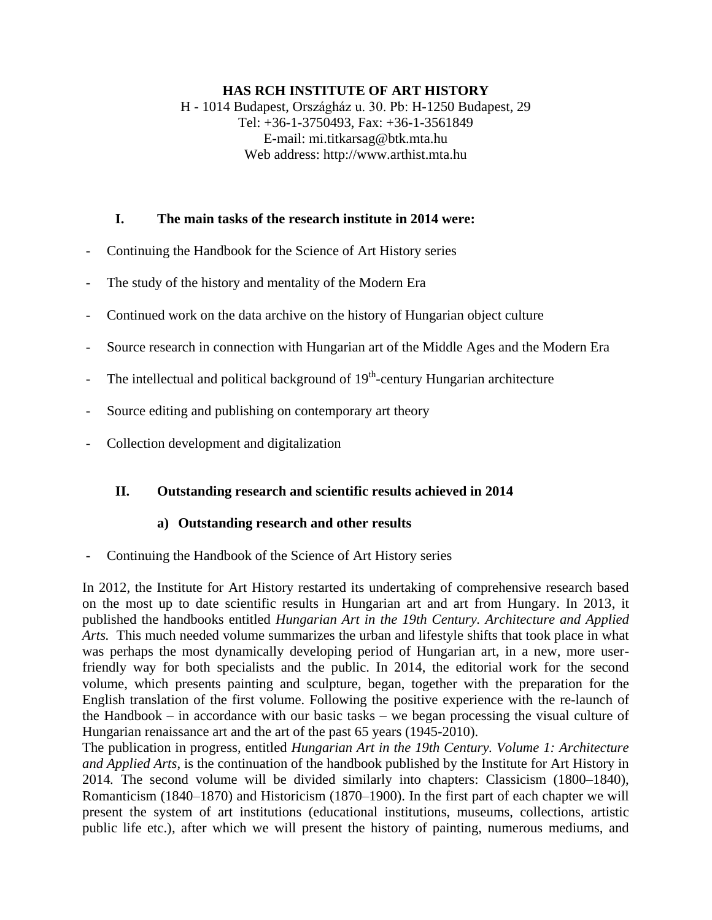# **HAS RCH INSTITUTE OF ART HISTORY**

H - 1014 Budapest, Országház u. 30. Pb: H-1250 Budapest, 29 Tel: +36-1-3750493, Fax: +36-1-3561849 E-mail: [mi.titkarsag@btk.mta.hu](mailto:mi.titkarsag@btk.mta.hu) Web address: [http://www.arthist.mta.hu](http://www.arthist.mta.hu/)

### **I. The main tasks of the research institute in 2014 were:**

- Continuing the Handbook for the Science of Art History series
- The study of the history and mentality of the Modern Era
- Continued work on the data archive on the history of Hungarian object culture
- Source research in connection with Hungarian art of the Middle Ages and the Modern Era
- The intellectual and political background of  $19<sup>th</sup>$ -century Hungarian architecture
- Source editing and publishing on contemporary art theory
- Collection development and digitalization

# **II. Outstanding research and scientific results achieved in 2014**

#### **a) Outstanding research and other results**

Continuing the Handbook of the Science of Art History series

In 2012, the Institute for Art History restarted its undertaking of comprehensive research based on the most up to date scientific results in Hungarian art and art from Hungary. In 2013, it published the handbooks entitled *Hungarian Art in the 19th Century. Architecture and Applied Arts.* This much needed volume summarizes the urban and lifestyle shifts that took place in what was perhaps the most dynamically developing period of Hungarian art, in a new, more userfriendly way for both specialists and the public. In 2014, the editorial work for the second volume, which presents painting and sculpture, began, together with the preparation for the English translation of the first volume. Following the positive experience with the re-launch of the Handbook – in accordance with our basic tasks – we began processing the visual culture of Hungarian renaissance art and the art of the past 65 years (1945-2010).

The publication in progress, entitled *Hungarian Art in the 19th Century. Volume 1: Architecture and Applied Arts*, is the continuation of the handbook published by the Institute for Art History in 2014*.* The second volume will be divided similarly into chapters: Classicism (1800–1840), Romanticism (1840–1870) and Historicism (1870–1900). In the first part of each chapter we will present the system of art institutions (educational institutions, museums, collections, artistic public life etc.), after which we will present the history of painting, numerous mediums, and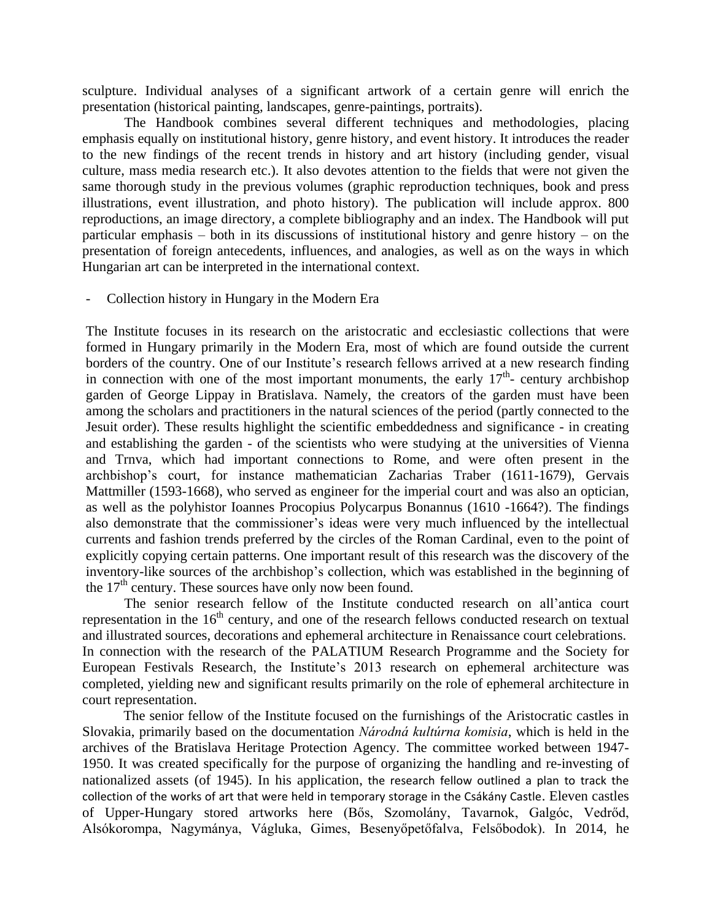sculpture. Individual analyses of a significant artwork of a certain genre will enrich the presentation (historical painting, landscapes, genre-paintings, portraits).

The Handbook combines several different techniques and methodologies, placing emphasis equally on institutional history, genre history, and event history. It introduces the reader to the new findings of the recent trends in history and art history (including gender, visual culture, mass media research etc.). It also devotes attention to the fields that were not given the same thorough study in the previous volumes (graphic reproduction techniques, book and press illustrations, event illustration, and photo history). The publication will include approx. 800 reproductions, an image directory, a complete bibliography and an index. The Handbook will put particular emphasis – both in its discussions of institutional history and genre history – on the presentation of foreign antecedents, influences, and analogies, as well as on the ways in which Hungarian art can be interpreted in the international context.

Collection history in Hungary in the Modern Era

The Institute focuses in its research on the aristocratic and ecclesiastic collections that were formed in Hungary primarily in the Modern Era, most of which are found outside the current borders of the country. One of our Institute's research fellows arrived at a new research finding in connection with one of the most important monuments, the early  $17<sup>th</sup>$ - century archbishop garden of George Lippay in Bratislava. Namely, the creators of the garden must have been among the scholars and practitioners in the natural sciences of the period (partly connected to the Jesuit order). These results highlight the scientific embeddedness and significance - in creating and establishing the garden - of the scientists who were studying at the universities of Vienna and Trnva, which had important connections to Rome, and were often present in the archbishop's court, for instance mathematician Zacharias Traber (1611-1679), Gervais Mattmiller (1593-1668), who served as engineer for the imperial court and was also an optician, as well as the polyhistor Ioannes Procopius Polycarpus Bonannus (1610 -1664?). The findings also demonstrate that the commissioner's ideas were very much influenced by the intellectual currents and fashion trends preferred by the circles of the Roman Cardinal, even to the point of explicitly copying certain patterns. One important result of this research was the discovery of the inventory-like sources of the archbishop's collection, which was established in the beginning of the  $17<sup>th</sup>$  century. These sources have only now been found.

The senior research fellow of the Institute conducted research on all'antica court representation in the  $16<sup>th</sup>$  century, and one of the research fellows conducted research on textual and illustrated sources, decorations and ephemeral architecture in Renaissance court celebrations. In connection with the research of the PALATIUM Research Programme and the Society for European Festivals Research, the Institute's 2013 research on ephemeral architecture was completed, yielding new and significant results primarily on the role of ephemeral architecture in court representation.

The senior fellow of the Institute focused on the furnishings of the Aristocratic castles in Slovakia, primarily based on the documentation *Národná kultúrna komisia*, which is held in the archives of the Bratislava Heritage Protection Agency. The committee worked between 1947- 1950. It was created specifically for the purpose of organizing the handling and re-investing of nationalized assets (of 1945). In his application, the research fellow outlined a plan to track the collection of the works of art that were held in temporary storage in the Csákány Castle. Eleven castles of Upper-Hungary stored artworks here (Bős, Szomolány, Tavarnok, Galgóc, Vedrőd, Alsókorompa, Nagymánya, Vágluka, Gimes, Besenyőpetőfalva, Felsőbodok). In 2014, he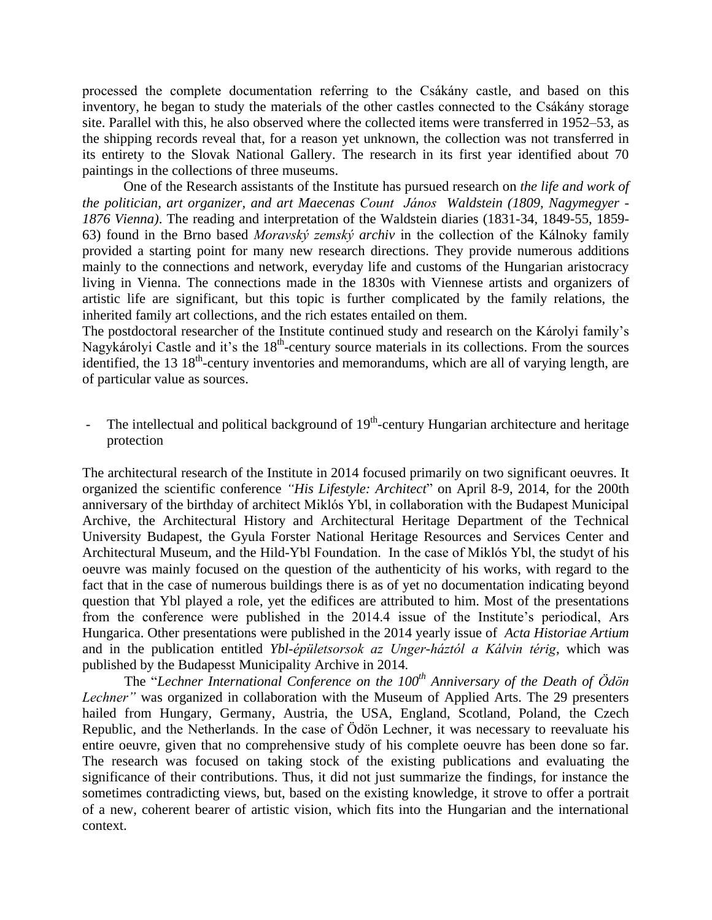processed the complete documentation referring to the Csákány castle, and based on this inventory, he began to study the materials of the other castles connected to the Csákány storage site. Parallel with this, he also observed where the collected items were transferred in 1952–53, as the shipping records reveal that, for a reason yet unknown, the collection was not transferred in its entirety to the Slovak National Gallery. The research in its first year identified about 70 paintings in the collections of three museums.

One of the Research assistants of the Institute has pursued research on *the life and work of the politician, art organizer, and art Maecenas Count János Waldstein (1809, Nagymegyer - 1876 Vienna)*. The reading and interpretation of the Waldstein diaries (1831-34, 1849-55, 1859- 63) found in the Brno based *[Moravský zemský](https://www.google.hu/url?sa=t&rct=j&q=&esrc=s&source=web&cd=2&ved=0CDwQFjAB&url=http%3A%2F%2Fwww.mza.cz%2F&ei=dieWUrunH8e34ASur4CwBA&usg=AFQjCNGne4Vs8xa8sLvViyIObJSYAnZXlw&sig2=G9LC-eYZCxG1xnpAve020g) archiv* in the collection of the Kálnoky family provided a starting point for many new research directions. They provide numerous additions mainly to the connections and network, everyday life and customs of the Hungarian aristocracy living in Vienna. The connections made in the 1830s with Viennese artists and organizers of artistic life are significant, but this topic is further complicated by the family relations, the inherited family art collections, and the rich estates entailed on them.

The postdoctoral researcher of the Institute continued study and research on the Károlyi family's Nagykárolyi Castle and it's the 18<sup>th</sup>-century source materials in its collections. From the sources identified, the 13 18<sup>th</sup>-century inventories and memorandums, which are all of varying length, are of particular value as sources.

- The intellectual and political background of  $19<sup>th</sup>$ -century Hungarian architecture and heritage protection

The architectural research of the Institute in 2014 focused primarily on two significant oeuvres. It organized the scientific conference *"His Lifestyle: Architect*" on April 8-9, 2014, for the 200th anniversary of the birthday of architect Miklós Ybl, in collaboration with the Budapest Municipal Archive, the Architectural History and Architectural Heritage Department of the Technical University Budapest, the Gyula Forster National Heritage Resources and Services Center and Architectural Museum, and the Hild-Ybl Foundation. In the case of Miklós Ybl, the studyt of his oeuvre was mainly focused on the question of the authenticity of his works, with regard to the fact that in the case of numerous buildings there is as of yet no documentation indicating beyond question that Ybl played a role, yet the edifices are attributed to him. Most of the presentations from the conference were published in the 2014.4 issue of the Institute's periodical, Ars Hungarica. Other presentations were published in the 2014 yearly issue of *Acta Historiae Artium* and in the publication entitled *Ybl-épületsorsok az Unger-háztól a Kálvin térig*, which was published by the Budapesst Municipality Archive in 2014*.* 

The "*Lechner International Conference on the 100th Anniversary of the Death of Ödön Lechner"* was organized in collaboration with the Museum of Applied Arts. The 29 presenters hailed from Hungary, Germany, Austria, the USA, England, Scotland, Poland, the Czech Republic, and the Netherlands. In the case of Ödön Lechner, it was necessary to reevaluate his entire oeuvre, given that no comprehensive study of his complete oeuvre has been done so far. The research was focused on taking stock of the existing publications and evaluating the significance of their contributions. Thus, it did not just summarize the findings, for instance the sometimes contradicting views, but, based on the existing knowledge, it strove to offer a portrait of a new, coherent bearer of artistic vision, which fits into the Hungarian and the international context.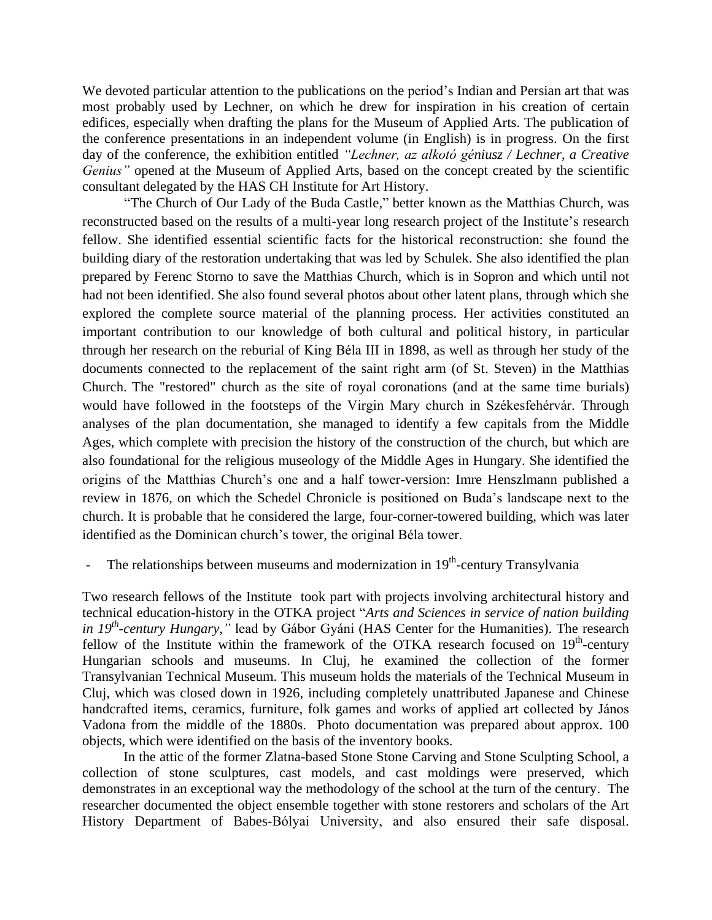We devoted particular attention to the publications on the period's Indian and Persian art that was most probably used by Lechner, on which he drew for inspiration in his creation of certain edifices, especially when drafting the plans for the Museum of Applied Arts. The publication of the conference presentations in an independent volume (in English) is in progress. On the first day of the conference, the exhibition entitled *"Lechner, az alkotó géniusz / Lechner, a Creative Genius"* opened at the Museum of Applied Arts, based on the concept created by the scientific consultant delegated by the HAS CH Institute for Art History.

"The Church of Our Lady of the Buda Castle," better known as the Matthias Church, was reconstructed based on the results of a multi-year long research project of the Institute's research fellow. She identified essential scientific facts for the historical reconstruction: she found the building diary of the restoration undertaking that was led by Schulek. She also identified the plan prepared by Ferenc Storno to save the Matthias Church, which is in Sopron and which until not had not been identified. She also found several photos about other latent plans, through which she explored the complete source material of the planning process. Her activities constituted an important contribution to our knowledge of both cultural and political history, in particular through her research on the reburial of King Béla III in 1898, as well as through her study of the documents connected to the replacement of the saint right arm (of St. Steven) in the Matthias Church. The "restored" church as the site of royal coronations (and at the same time burials) would have followed in the footsteps of the Virgin Mary church in Székesfehérvár. Through analyses of the plan documentation, she managed to identify a few capitals from the Middle Ages, which complete with precision the history of the construction of the church, but which are also foundational for the religious museology of the Middle Ages in Hungary. She identified the origins of the Matthias Church's one and a half tower-version: Imre Henszlmann published a review in 1876, on which the Schedel Chronicle is positioned on Buda's landscape next to the church. It is probable that he considered the large, four-corner-towered building, which was later identified as the Dominican church's tower, the original Béla tower.

- The relationships between museums and modernization in 19<sup>th</sup>-century Transylvania

Two research fellows of the Institute took part with projects involving architectural history and technical education-history in the OTKA project "*Arts and Sciences in service of nation building in 19th -century Hungary*,*"* lead by Gábor Gyáni (HAS Center for the Humanities). The research fellow of the Institute within the framework of the OTKA research focused on 19<sup>th</sup>-century Hungarian schools and museums. In Cluj, he examined the collection of the former Transylvanian Technical Museum. This museum holds the materials of the Technical Museum in Cluj, which was closed down in 1926, including completely unattributed Japanese and Chinese handcrafted items, ceramics, furniture, folk games and works of applied art collected by János Vadona from the middle of the 1880s. Photo documentation was prepared about approx. 100 objects, which were identified on the basis of the inventory books.

In the attic of the former Zlatna-based Stone Stone Carving and Stone Sculpting School, a collection of stone sculptures, cast models, and cast moldings were preserved, which demonstrates in an exceptional way the methodology of the school at the turn of the century. The researcher documented the object ensemble together with stone restorers and scholars of the Art History Department of Babes-Bólyai University, and also ensured their safe disposal.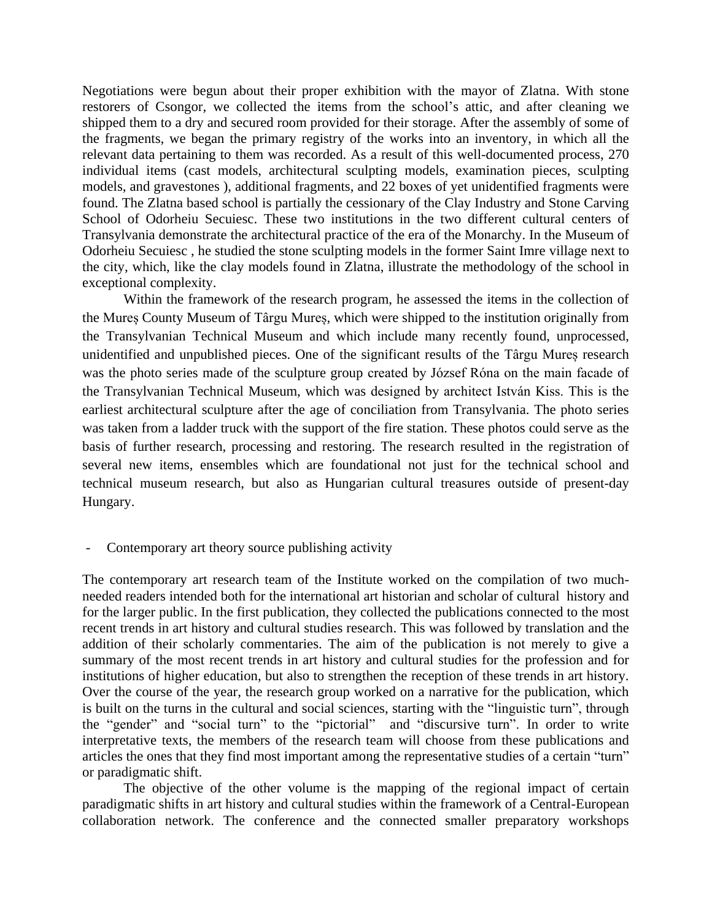Negotiations were begun about their proper exhibition with the mayor of Zlatna. With stone restorers of Csongor, we collected the items from the school's attic, and after cleaning we shipped them to a dry and secured room provided for their storage. After the assembly of some of the fragments, we began the primary registry of the works into an inventory, in which all the relevant data pertaining to them was recorded. As a result of this well-documented process, 270 individual items (cast models, architectural sculpting models, examination pieces, sculpting models, and gravestones ), additional fragments, and 22 boxes of yet unidentified fragments were found. The Zlatna based school is partially the cessionary of the Clay Industry and Stone Carving School of Odorheiu Secuiesc. These two institutions in the two different cultural centers of Transylvania demonstrate the architectural practice of the era of the Monarchy. In the Museum of Odorheiu Secuiesc , he studied the stone sculpting models in the former Saint Imre village next to the city, which, like the clay models found in Zlatna, illustrate the methodology of the school in exceptional complexity.

Within the framework of the research program, he assessed the items in the collection of the Mureș County Museum of Târgu Mureș, which were shipped to the institution originally from the Transylvanian Technical Museum and which include many recently found, unprocessed, unidentified and unpublished pieces. One of the significant results of the Târgu Mureș research was the photo series made of the sculpture group created by József Róna on the main facade of the Transylvanian Technical Museum, which was designed by architect István Kiss. This is the earliest architectural sculpture after the age of conciliation from Transylvania. The photo series was taken from a ladder truck with the support of the fire station. These photos could serve as the basis of further research, processing and restoring. The research resulted in the registration of several new items, ensembles which are foundational not just for the technical school and technical museum research, but also as Hungarian cultural treasures outside of present-day Hungary.

Contemporary art theory source publishing activity

The contemporary art research team of the Institute worked on the compilation of two muchneeded readers intended both for the international art historian and scholar of cultural history and for the larger public. In the first publication, they collected the publications connected to the most recent trends in art history and cultural studies research. This was followed by translation and the addition of their scholarly commentaries. The aim of the publication is not merely to give a summary of the most recent trends in art history and cultural studies for the profession and for institutions of higher education, but also to strengthen the reception of these trends in art history. Over the course of the year, the research group worked on a narrative for the publication, which is built on the turns in the cultural and social sciences, starting with the "linguistic turn", through the "gender" and "social turn" to the "pictorial" and "discursive turn". In order to write interpretative texts, the members of the research team will choose from these publications and articles the ones that they find most important among the representative studies of a certain "turn" or paradigmatic shift.

The objective of the other volume is the mapping of the regional impact of certain paradigmatic shifts in art history and cultural studies within the framework of a Central-European collaboration network. The conference and the connected smaller preparatory workshops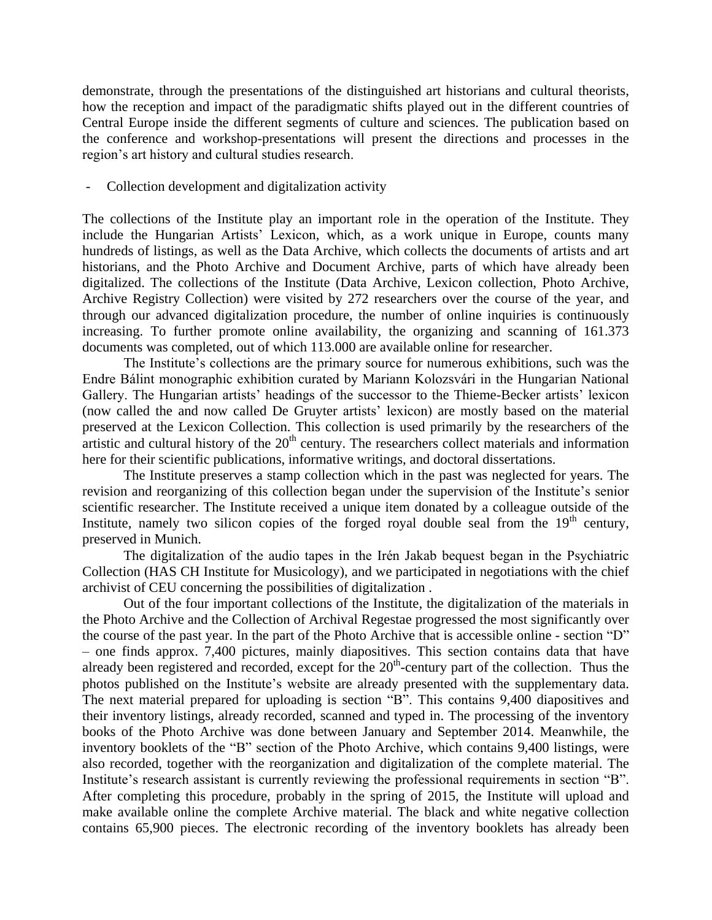demonstrate, through the presentations of the distinguished art historians and cultural theorists, how the reception and impact of the paradigmatic shifts played out in the different countries of Central Europe inside the different segments of culture and sciences. The publication based on the conference and workshop-presentations will present the directions and processes in the region's art history and cultural studies research.

Collection development and digitalization activity

The collections of the Institute play an important role in the operation of the Institute. They include the Hungarian Artists' Lexicon, which, as a work unique in Europe, counts many hundreds of listings, as well as the Data Archive, which collects the documents of artists and art historians, and the Photo Archive and Document Archive, parts of which have already been digitalized. The collections of the Institute (Data Archive, Lexicon collection, Photo Archive, Archive Registry Collection) were visited by 272 researchers over the course of the year, and through our advanced digitalization procedure, the number of online inquiries is continuously increasing. To further promote online availability, the organizing and scanning of 161.373 documents was completed, out of which 113.000 are available online for researcher.

The Institute's collections are the primary source for numerous exhibitions, such was the Endre Bálint monographic exhibition curated by Mariann Kolozsvári in the Hungarian National Gallery. The Hungarian artists' headings of the successor to the Thieme-Becker artists' lexicon (now called the and now called De Gruyter artists' lexicon) are mostly based on the material preserved at the Lexicon Collection. This collection is used primarily by the researchers of the artistic and cultural history of the  $20<sup>th</sup>$  century. The researchers collect materials and information here for their scientific publications, informative writings, and doctoral dissertations.

The Institute preserves a stamp collection which in the past was neglected for years. The revision and reorganizing of this collection began under the supervision of the Institute's senior scientific researcher. The Institute received a unique item donated by a colleague outside of the Institute, namely two silicon copies of the forged royal double seal from the  $19<sup>th</sup>$  century, preserved in Munich.

The digitalization of the audio tapes in the Irén Jakab bequest began in the Psychiatric Collection (HAS CH Institute for Musicology), and we participated in negotiations with the chief archivist of CEU concerning the possibilities of digitalization .

Out of the four important collections of the Institute, the digitalization of the materials in the Photo Archive and the Collection of Archival Regestae progressed the most significantly over the course of the past year. In the part of the Photo Archive that is accessible online - section "D" – one finds approx. 7,400 pictures, mainly diapositives. This section contains data that have already been registered and recorded, except for the 20<sup>th</sup>-century part of the collection. Thus the photos published on the Institute's website are already presented with the supplementary data. The next material prepared for uploading is section "B". This contains 9,400 diapositives and their inventory listings, already recorded, scanned and typed in. The processing of the inventory books of the Photo Archive was done between January and September 2014. Meanwhile, the inventory booklets of the "B" section of the Photo Archive, which contains 9,400 listings, were also recorded, together with the reorganization and digitalization of the complete material. The Institute's research assistant is currently reviewing the professional requirements in section "B". After completing this procedure, probably in the spring of 2015, the Institute will upload and make available online the complete Archive material. The black and white negative collection contains 65,900 pieces. The electronic recording of the inventory booklets has already been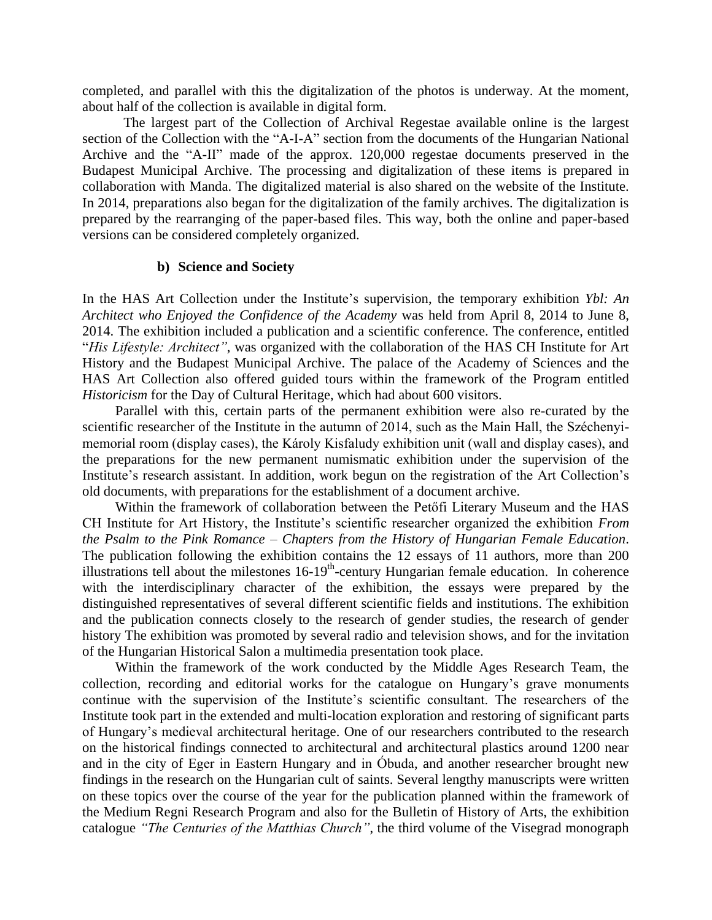completed, and parallel with this the digitalization of the photos is underway. At the moment, about half of the collection is available in digital form.

The largest part of the Collection of Archival Regestae available online is the largest section of the Collection with the "A-I-A" section from the documents of the Hungarian National Archive and the "A-II" made of the approx. 120,000 regestae documents preserved in the Budapest Municipal Archive. The processing and digitalization of these items is prepared in collaboration with Manda. The digitalized material is also shared on the website of the Institute. In 2014, preparations also began for the digitalization of the family archives. The digitalization is prepared by the rearranging of the paper-based files. This way, both the online and paper-based versions can be considered completely organized.

#### **b) Science and Society**

In the HAS Art Collection under the Institute's supervision, the temporary exhibition *Ybl: An Architect who Enjoyed the Confidence of the Academy* was held from April 8, 2014 to June 8, 2014. The exhibition included a publication and a scientific conference. The conference, entitled "*His Lifestyle: Architect"*, was organized with the collaboration of the HAS CH Institute for Art History and the Budapest Municipal Archive. The palace of the Academy of Sciences and the HAS Art Collection also offered guided tours within the framework of the Program entitled *Historicism* for the Day of Cultural Heritage, which had about 600 visitors.

Parallel with this, certain parts of the permanent exhibition were also re-curated by the scientific researcher of the Institute in the autumn of 2014, such as the Main Hall, the Széchenyimemorial room (display cases), the Károly Kisfaludy exhibition unit (wall and display cases), and the preparations for the new permanent numismatic exhibition under the supervision of the Institute's research assistant. In addition, work begun on the registration of the Art Collection's old documents, with preparations for the establishment of a document archive.

Within the framework of collaboration between the Petőfi Literary Museum and the HAS CH Institute for Art History, the Institute's scientific researcher organized the exhibition *From the Psalm to the Pink Romance – Chapters from the History of Hungarian Female Education*. The publication following the exhibition contains the 12 essays of 11 authors, more than 200 illustrations tell about the milestones 16-19<sup>th</sup>-century Hungarian female education. In coherence with the interdisciplinary character of the exhibition, the essays were prepared by the distinguished representatives of several different scientific fields and institutions. The exhibition and the publication connects closely to the research of gender studies, the research of gender history The exhibition was promoted by several radio and television shows, and for the invitation of the Hungarian Historical Salon a multimedia presentation took place.

Within the framework of the work conducted by the Middle Ages Research Team, the collection, recording and editorial works for the catalogue on Hungary's grave monuments continue with the supervision of the Institute's scientific consultant. The researchers of the Institute took part in the extended and multi-location exploration and restoring of significant parts of Hungary's medieval architectural heritage. One of our researchers contributed to the research on the historical findings connected to architectural and architectural plastics around 1200 near and in the city of Eger in Eastern Hungary and in Óbuda, and another researcher brought new findings in the research on the Hungarian cult of saints. Several lengthy manuscripts were written on these topics over the course of the year for the publication planned within the framework of the Medium Regni Research Program and also for the Bulletin of History of Arts, the exhibition catalogue *"The Centuries of the Matthias Church"*, the third volume of the Visegrad monograph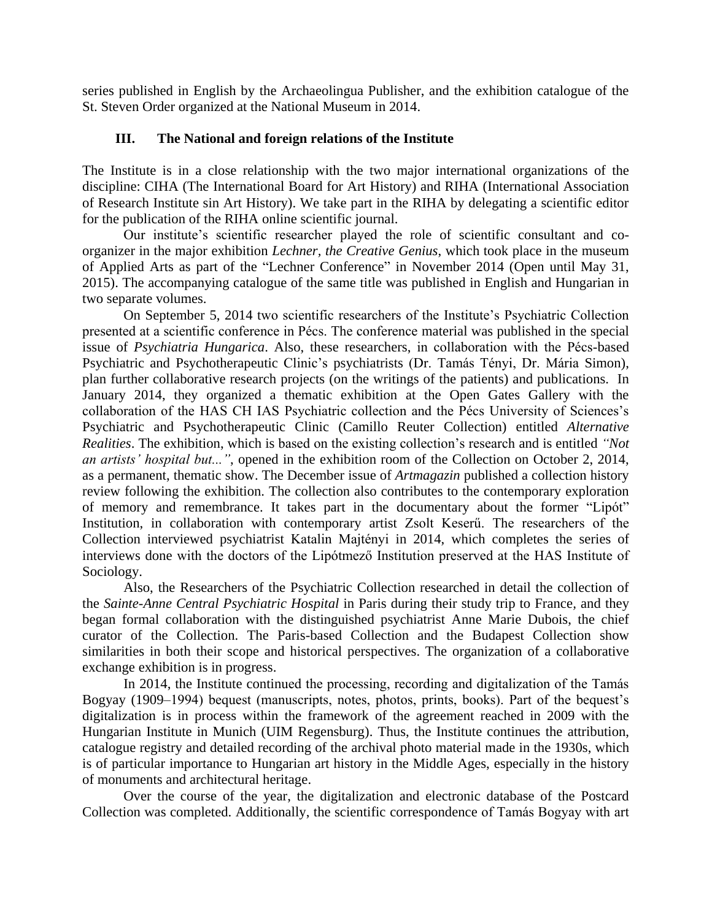series published in English by the Archaeolingua Publisher, and the exhibition catalogue of the St. Steven Order organized at the National Museum in 2014.

## **III. The National and foreign relations of the Institute**

The Institute is in a close relationship with the two major international organizations of the discipline: CIHA (The International Board for Art History) and RIHA (International Association of Research Institute sin Art History). We take part in the RIHA by delegating a scientific editor for the publication of the RIHA online scientific journal.

Our institute's scientific researcher played the role of scientific consultant and coorganizer in the major exhibition *Lechner, the Creative Genius*, which took place in the museum of Applied Arts as part of the "Lechner Conference" in November 2014 (Open until May 31, 2015). The accompanying catalogue of the same title was published in English and Hungarian in two separate volumes.

On September 5, 2014 two scientific researchers of the Institute's Psychiatric Collection presented at a scientific conference in Pécs. The conference material was published in the special issue of *Psychiatria Hungarica*. Also, these researchers, in collaboration with the Pécs-based Psychiatric and Psychotherapeutic Clinic's psychiatrists (Dr. Tamás Tényi, Dr. Mária Simon), plan further collaborative research projects (on the writings of the patients) and publications. In January 2014, they organized a thematic exhibition at the Open Gates Gallery with the collaboration of the HAS CH IAS Psychiatric collection and the Pécs University of Sciences's Psychiatric and Psychotherapeutic Clinic (Camillo Reuter Collection) entitled *Alternative Realities*. The exhibition, which is based on the existing collection's research and is entitled *"Not an artists' hospital but..."*, opened in the exhibition room of the Collection on October 2, 2014, as a permanent, thematic show. The December issue of *Artmagazin* published a collection history review following the exhibition. The collection also contributes to the contemporary exploration of memory and remembrance. It takes part in the documentary about the former "Lipót" Institution, in collaboration with contemporary artist Zsolt Keserű. The researchers of the Collection interviewed psychiatrist Katalin Majtényi in 2014, which completes the series of interviews done with the doctors of the Lipótmező Institution preserved at the HAS Institute of Sociology.

Also, the Researchers of the Psychiatric Collection researched in detail the collection of the *Sainte-Anne Central Psychiatric Hospital* in Paris during their study trip to France*,* and they began formal collaboration with the distinguished psychiatrist Anne Marie Dubois, the chief curator of the Collection. The Paris-based Collection and the Budapest Collection show similarities in both their scope and historical perspectives. The organization of a collaborative exchange exhibition is in progress.

In 2014, the Institute continued the processing, recording and digitalization of the Tamás Bogyay (1909–1994) bequest (manuscripts, notes, photos, prints, books). Part of the bequest's digitalization is in process within the framework of the agreement reached in 2009 with the Hungarian Institute in Munich (UIM Regensburg). Thus, the Institute continues the attribution, catalogue registry and detailed recording of the archival photo material made in the 1930s, which is of particular importance to Hungarian art history in the Middle Ages, especially in the history of monuments and architectural heritage.

Over the course of the year, the digitalization and electronic database of the Postcard Collection was completed. Additionally, the scientific correspondence of Tamás Bogyay with art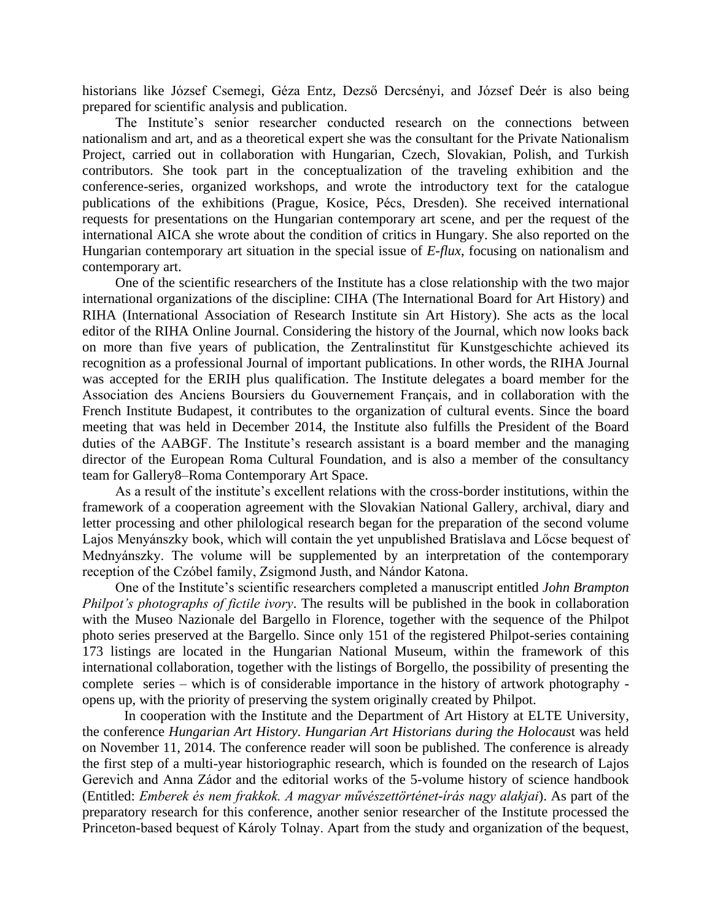historians like József Csemegi, Géza Entz, Dezső Dercsényi, and József Deér is also being prepared for scientific analysis and publication.

The Institute's senior researcher conducted research on the connections between nationalism and art, and as a theoretical expert she was the consultant for the Private Nationalism Project, carried out in collaboration with Hungarian, Czech, Slovakian, Polish, and Turkish contributors. She took part in the conceptualization of the traveling exhibition and the conference-series, organized workshops, and wrote the introductory text for the catalogue publications of the exhibitions (Prague, Kosice, Pécs, Dresden). She received international requests for presentations on the Hungarian contemporary art scene, and per the request of the international AICA she wrote about the condition of critics in Hungary. She also reported on the Hungarian contemporary art situation in the special issue of *E-flux*, focusing on nationalism and contemporary art.

One of the scientific researchers of the Institute has a close relationship with the two major international organizations of the discipline: CIHA (The International Board for Art History) and RIHA (International Association of Research Institute sin Art History). She acts as the local editor of the RIHA Online Journal. Considering the history of the Journal, which now looks back on more than five years of publication, the Zentralinstitut für Kunstgeschichte achieved its recognition as a professional Journal of important publications. In other words, the RIHA Journal was accepted for the ERIH plus qualification. The Institute delegates a board member for the Association des Anciens Boursiers du Gouvernement Français, and in collaboration with the French Institute Budapest, it contributes to the organization of cultural events. Since the board meeting that was held in December 2014, the Institute also fulfills the President of the Board duties of the AABGF. The Institute's research assistant is a board member and the managing director of the European Roma Cultural Foundation, and is also a member of the consultancy team for Gallery8–Roma Contemporary Art Space.

As a result of the institute's excellent relations with the cross-border institutions, within the framework of a cooperation agreement with the Slovakian National Gallery, archival, diary and letter processing and other philological research began for the preparation of the second volume Lajos Menyánszky book, which will contain the yet unpublished Bratislava and Lőcse bequest of Mednyánszky. The volume will be supplemented by an interpretation of the contemporary reception of the Czóbel family, Zsigmond Justh, and Nándor Katona.

One of the Institute's scientific researchers completed a manuscript entitled *John Brampton Philpot's photographs of fictile ivory*. The results will be published in the book in collaboration with the Museo Nazionale del Bargello in Florence, together with the sequence of the Philpot photo series preserved at the Bargello. Since only 151 of the registered Philpot-series containing 173 listings are located in the Hungarian National Museum, within the framework of this international collaboration, together with the listings of Borgello, the possibility of presenting the complete series – which is of considerable importance in the history of artwork photography opens up, with the priority of preserving the system originally created by Philpot.

In cooperation with the Institute and the Department of Art History at ELTE University, the conference *Hungarian Art History. Hungarian Art Historians during the Holocaus*t was held on November 11, 2014. The conference reader will soon be published. The conference is already the first step of a multi-year historiographic research, which is founded on the research of Lajos Gerevich and Anna Zádor and the editorial works of the 5-volume history of science handbook (Entitled: *Emberek és nem frakkok. A magyar művészettörténet-írás nagy alakjai*). As part of the preparatory research for this conference, another senior researcher of the Institute processed the Princeton-based bequest of Károly Tolnay. Apart from the study and organization of the bequest,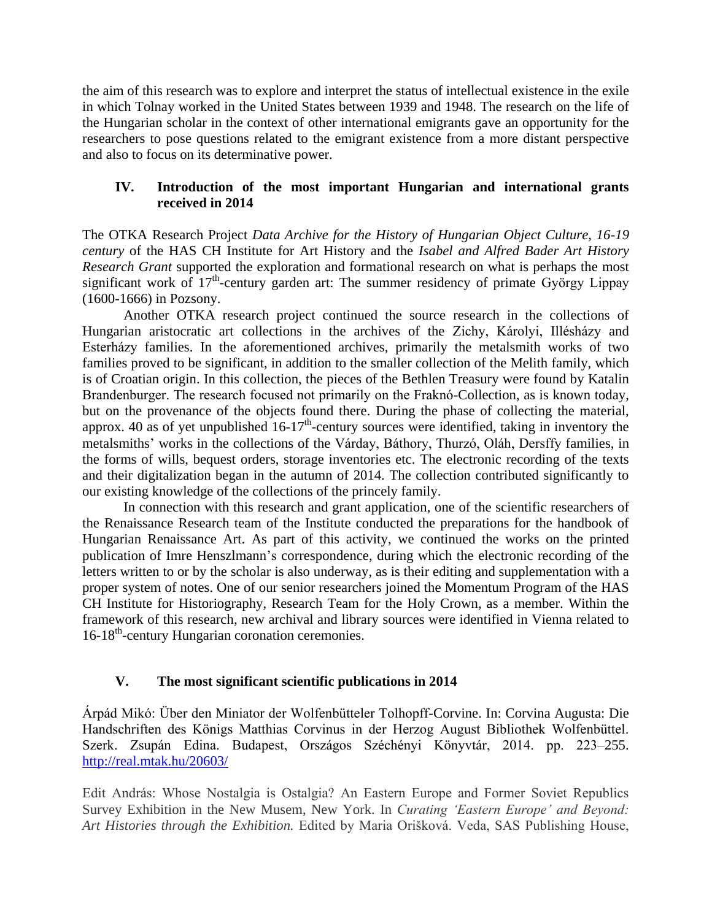the aim of this research was to explore and interpret the status of intellectual existence in the exile in which Tolnay worked in the United States between 1939 and 1948. The research on the life of the Hungarian scholar in the context of other international emigrants gave an opportunity for the researchers to pose questions related to the emigrant existence from a more distant perspective and also to focus on its determinative power.

## **IV. Introduction of the most important Hungarian and international grants received in 2014**

The OTKA Research Project *Data Archive for the History of Hungarian Object Culture, 16-19 century* of the HAS CH Institute for Art History and the *Isabel and Alfred Bader Art History Research Grant* supported the exploration and formational research on what is perhaps the most significant work of  $17<sup>th</sup>$ -century garden art: The summer residency of primate György Lippay (1600-1666) in Pozsony.

Another OTKA research project continued the source research in the collections of Hungarian aristocratic art collections in the archives of the Zichy, Károlyi, Illésházy and Esterházy families. In the aforementioned archives, primarily the metalsmith works of two families proved to be significant, in addition to the smaller collection of the Melith family, which is of Croatian origin. In this collection, the pieces of the Bethlen Treasury were found by Katalin Brandenburger. The research focused not primarily on the Fraknó-Collection, as is known today, but on the provenance of the objects found there. During the phase of collecting the material, approx. 40 as of yet unpublished  $16-17<sup>th</sup>$ -century sources were identified, taking in inventory the metalsmiths' works in the collections of the Várday, Báthory, Thurzó, Oláh, Dersffy families, in the forms of wills, bequest orders, storage inventories etc. The electronic recording of the texts and their digitalization began in the autumn of 2014. The collection contributed significantly to our existing knowledge of the collections of the princely family.

In connection with this research and grant application, one of the scientific researchers of the Renaissance Research team of the Institute conducted the preparations for the handbook of Hungarian Renaissance Art. As part of this activity, we continued the works on the printed publication of Imre Henszlmann's correspondence, during which the electronic recording of the letters written to or by the scholar is also underway, as is their editing and supplementation with a proper system of notes. One of our senior researchers joined the Momentum Program of the HAS CH Institute for Historiography, Research Team for the Holy Crown, as a member. Within the framework of this research, new archival and library sources were identified in Vienna related to 16-18<sup>th</sup>-century Hungarian coronation ceremonies.

# **V. The most significant scientific publications in 2014**

Árpád Mikó: Über den Miniator der Wolfenbütteler Tolhopff-Corvine. In: Corvina Augusta: Die Handschriften des Königs Matthias Corvinus in der Herzog August Bibliothek Wolfenbüttel. Szerk. Zsupán Edina. Budapest, Országos Széchényi Könyvtár, 2014. pp. 223–255. <http://real.mtak.hu/20603/>

Edit András: Whose Nostalgia is Ostalgia? An Eastern Europe and Former Soviet Republics Survey Exhibition in the New Musem, New York. In *Curating 'Eastern Europe' and Beyond: Art Histories through the Exhibition.* Edited by Maria Orišková. Veda, SAS Publishing House,